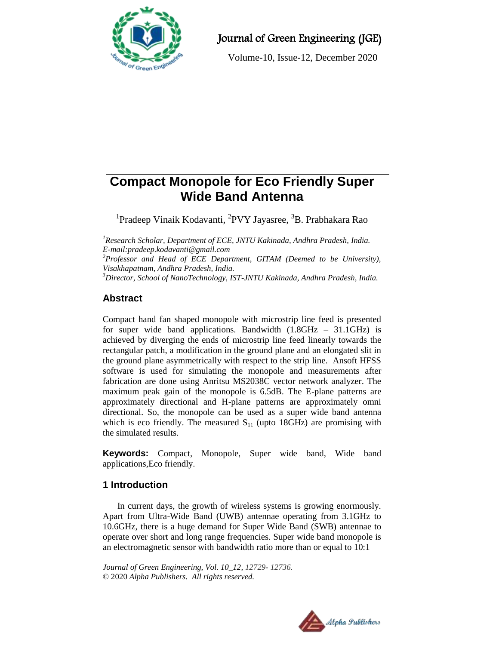

Journal of Green Engineering (JGE)

Volume-10, Issue-12, December 2020

# **Compact Monopole for Eco Friendly Super Wide Band Antenna**

<sup>1</sup>Pradeep Vinaik Kodavanti, <sup>2</sup>PVY Jayasree, <sup>3</sup>B. Prabhakara Rao

*<sup>1</sup>Research Scholar, Department of ECE, JNTU Kakinada, Andhra Pradesh, India. E-mail[:pradeep.kodavanti@gmail.com](mailto:pradeep.kodavanti@gmail.com) <sup>2</sup>Professor and Head of ECE Department, GITAM (Deemed to be University), Visakhapatnam, Andhra Pradesh, India.*

*<sup>3</sup>Director, School of NanoTechnology, IST-JNTU Kakinada, Andhra Pradesh, India.*

## **Abstract**

Compact hand fan shaped monopole with microstrip line feed is presented for super wide band applications. Bandwidth (1.8GHz – 31.1GHz) is achieved by diverging the ends of microstrip line feed linearly towards the rectangular patch, a modification in the ground plane and an elongated slit in the ground plane asymmetrically with respect to the strip line. Ansoft HFSS software is used for simulating the monopole and measurements after fabrication are done using Anritsu MS2038C vector network analyzer. The maximum peak gain of the monopole is 6.5dB. The E-plane patterns are approximately directional and H-plane patterns are approximately omni directional. So, the monopole can be used as a super wide band antenna which is eco friendly. The measured  $S<sub>11</sub>$  (upto 18GHz) are promising with the simulated results.

**Keywords:** Compact, Monopole, Super wide band, Wide band applications,Eco friendly.

## **1 Introduction**

In current days, the growth of wireless systems is growing enormously. Apart from Ultra-Wide Band (UWB) antennae operating from 3.1GHz to 10.6GHz, there is a huge demand for Super Wide Band (SWB) antennae to operate over short and long range frequencies. Super wide band monopole is an electromagnetic sensor with bandwidth ratio more than or equal to 10:1

*Journal of Green Engineering, Vol. 10\_12, 12729- 12736.* © 2020 *Alpha Publishers. All rights reserved.*

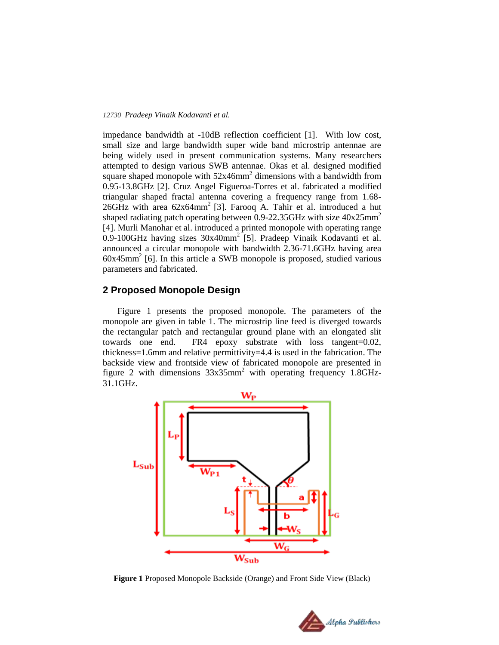#### *12730 Pradeep Vinaik Kodavanti et al.*

impedance bandwidth at -10dB reflection coefficient [1]. With low cost, small size and large bandwidth super wide band microstrip antennae are being widely used in present communication systems. Many researchers attempted to design various SWB antennae. Okas et al. designed modified square shaped monopole with  $52x46mm^2$  dimensions with a bandwidth from 0.95-13.8GHz [2]. Cruz Angel Figueroa-Torres et al. fabricated a modified triangular shaped fractal antenna covering a frequency range from 1.68- 26GHz with area  $62x64mm^2$  [3]. Farooq A. Tahir et al. introduced a hut shaped radiating patch operating between 0.9-22.35GHz with size  $40x25mm^2$ [4]. Murli Manohar et al. introduced a printed monopole with operating range 0.9-100GHz having sizes  $30x40mm^2$  [5]. Pradeep Vinaik Kodavanti et al. announced a circular monopole with bandwidth 2.36-71.6GHz having area 60x45mm<sup>2</sup> [6]. In this article a SWB monopole is proposed, studied various parameters and fabricated.

#### **2 Proposed Monopole Design**

Figure 1 presents the proposed monopole. The parameters of the monopole are given in table 1. The microstrip line feed is diverged towards the rectangular patch and rectangular ground plane with an elongated slit towards one end. FR4 epoxy substrate with loss tangent=0.02, thickness=1.6mm and relative permittivity=4.4 is used in the fabrication. The backside view and frontside view of fabricated monopole are presented in figure 2 with dimensions  $33x35mm^2$  with operating frequency 1.8GHz-31.1GHz.



**Figure 1** Proposed Monopole Backside (Orange) and Front Side View (Black)

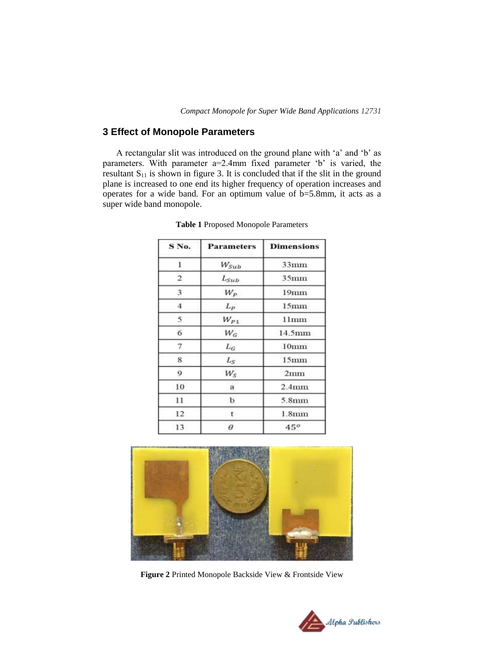## **3 Effect of Monopole Parameters**

A rectangular slit was introduced on the ground plane with "a" and "b" as parameters. With parameter a=2.4mm fixed parameter 'b' is varied, the resultant  $S_{11}$  is shown in figure 3. It is concluded that if the slit in the ground plane is increased to one end its higher frequency of operation increases and operates for a wide band. For an optimum value of b=5.8mm, it acts as a super wide band monopole.

| S No.        | <b>Parameters</b> | <b>Dimensions</b> |
|--------------|-------------------|-------------------|
| 1            | $W_{Sub}$         | $33$ mm           |
| 2            | $L_{Sub}$         | 35 <sub>mm</sub>  |
| 3            | $W_P$             | 19 <sub>mm</sub>  |
| 4            | $L_P$             | 15 <sub>mm</sub>  |
| 5            | $W_{P1}$          | 11mm              |
| 6            | $W_G$             | 14.5mm            |
| 7            | $L_G$             | 10 <sub>mm</sub>  |
| 8            | $L_S$             | 15 <sub>mm</sub>  |
| 9            | $W_{S}$           | 2mm               |
| 10           | a                 | 2.4 <sub>mm</sub> |
| 11           | b                 | 5.8 <sub>mm</sub> |
| $12^{\circ}$ | t.                | 1.8 <sub>mm</sub> |
| 13           | θ                 | 45 <sup>o</sup>   |

**Table 1** Proposed Monopole Parameters



**Figure 2** Printed Monopole Backside View & Frontside View

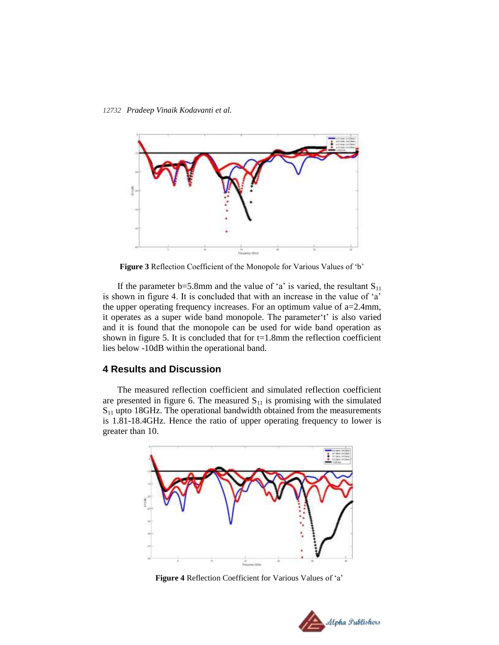*12732 Pradeep Vinaik Kodavanti et al.*



**Figure 3** Reflection Coefficient of the Monopole for Various Values of "b"

If the parameter b=5.8mm and the value of 'a' is varied, the resultant  $S_{11}$ is shown in figure 4. It is concluded that with an increase in the value of 'a' the upper operating frequency increases. For an optimum value of a=2.4mm, it operates as a super wide band monopole. The parameter't' is also varied and it is found that the monopole can be used for wide band operation as shown in figure 5. It is concluded that for  $t=1.8$ mm the reflection coefficient lies below -10dB within the operational band.

### **4 Results and Discussion**

The measured reflection coefficient and simulated reflection coefficient are presented in figure 6. The measured  $S_{11}$  is promising with the simulated  $S<sub>11</sub>$  upto 18GHz. The operational bandwidth obtained from the measurements is 1.81-18.4GHz. Hence the ratio of upper operating frequency to lower is greater than 10.



**Figure 4** Reflection Coefficient for Various Values of "a"

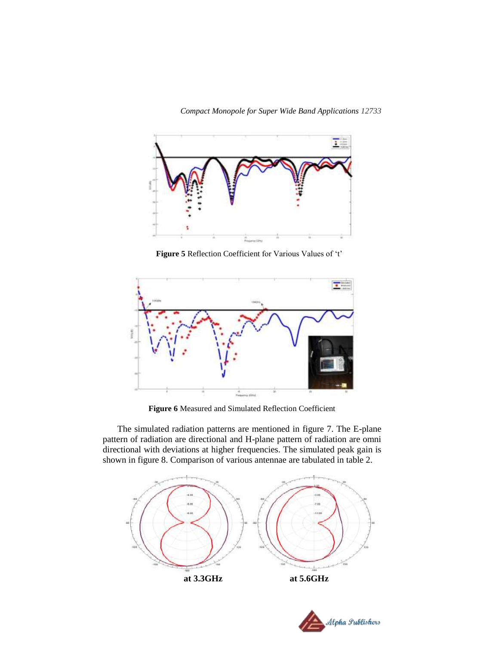

Figure 5 Reflection Coefficient for Various Values of 't'



**Figure 6** Measured and Simulated Reflection Coefficient

The simulated radiation patterns are mentioned in figure 7. The E-plane pattern of radiation are directional and H-plane pattern of radiation are omni directional with deviations at higher frequencies. The simulated peak gain is shown in figure 8. Comparison of various antennae are tabulated in table 2.



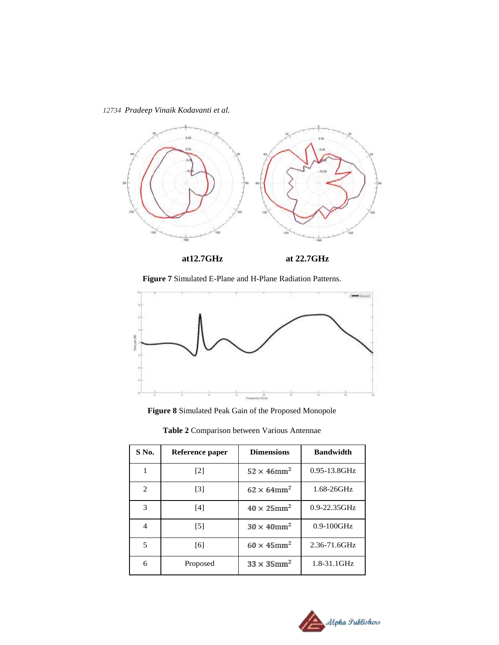*12734 Pradeep Vinaik Kodavanti et al.*



 **at12.7GHz at 22.7GHz**

**Figure 7** Simulated E-Plane and H-Plane Radiation Patterns.



**Figure 8** Simulated Peak Gain of the Proposed Monopole

| S No.          | Reference paper   | <b>Dimensions</b>              | <b>Bandwidth</b>  |
|----------------|-------------------|--------------------------------|-------------------|
| 1              | $\lceil 2 \rceil$ | $52 \times 46$ mm <sup>2</sup> | $0.95 - 13.8$ GHz |
| $\overline{2}$ | $\lceil 3 \rceil$ | $62 \times 64$ mm <sup>2</sup> | $1.68 - 26$ GHz   |
| 3              | [4]               | $40 \times 25$ mm <sup>2</sup> | $0.9 - 22.35$ GHz |
| 4              | [5]               | $30 \times 40$ mm <sup>2</sup> | $0.9-100$ GHz     |
| 5              | [6]               | $60 \times 45$ mm <sup>2</sup> | $2.36 - 71.6$ GHz |
| 6              | Proposed          | $33 \times 35$ mm <sup>2</sup> | 1.8-31.1GHz       |

**Table 2** Comparison between Various Antennae

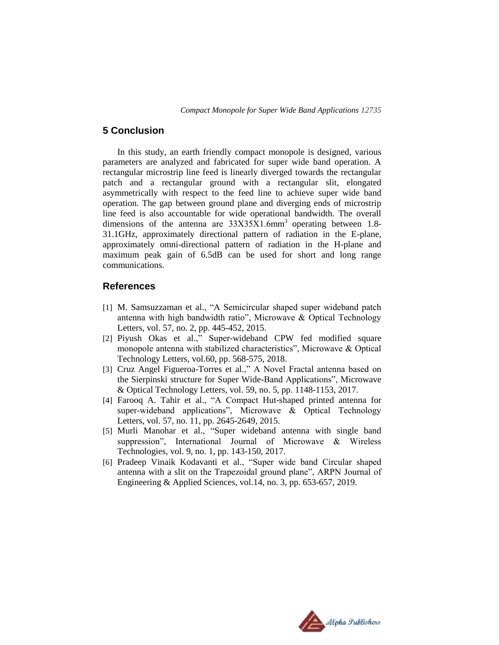#### **5 Conclusion**

In this study, an earth friendly compact monopole is designed, various parameters are analyzed and fabricated for super wide band operation. A rectangular microstrip line feed is linearly diverged towards the rectangular patch and a rectangular ground with a rectangular slit, elongated asymmetrically with respect to the feed line to achieve super wide band operation. The gap between ground plane and diverging ends of microstrip line feed is also accountable for wide operational bandwidth. The overall dimensions of the antenna are  $33X35X1.6$ mm<sup>3</sup> operating between 1.8-31.1GHz, approximately directional pattern of radiation in the E-plane, approximately omni-directional pattern of radiation in the H-plane and maximum peak gain of 6.5dB can be used for short and long range communications.

#### **References**

- [1] M. Samsuzzaman et al., "A Semicircular shaped super wideband patch antenna with high bandwidth ratio", Microwave & Optical Technology Letters, vol. 57, no. 2, pp. 445-452, 2015.
- [2] Piyush Okas et al.," Super-wideband CPW fed modified square monopole antenna with stabilized characteristics", Microwave & Optical Technology Letters, vol.60, pp. 568-575, 2018.
- [3] Cruz Angel Figueroa-Torres et al.," A Novel Fractal antenna based on the Sierpinski structure for Super Wide-Band Applications", Microwave & Optical Technology Letters, vol. 59, no. 5, pp. 1148-1153, 2017.
- [4] Farooq A. Tahir et al., "A Compact Hut-shaped printed antenna for super-wideband applications", Microwave & Optical Technology Letters, vol. 57, no. 11, pp. 2645-2649, 2015.
- [5] Murli Manohar et al., "Super wideband antenna with single band suppression", International Journal of Microwave & Wireless Technologies, vol. 9, no. 1, pp. 143-150, 2017.
- [6] Pradeep Vinaik Kodavanti et al., "Super wide band Circular shaped antenna with a slit on the Trapezoidal ground plane", ARPN Journal of Engineering & Applied Sciences, vol.14, no. 3, pp. 653-657, 2019.